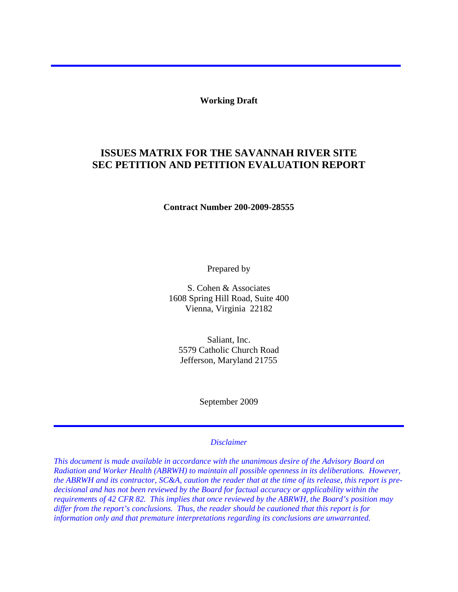**Working Draft** 

# **ISSUES MATRIX FOR THE SAVANNAH RIVER SITE SEC PETITION AND PETITION EVALUATION REPORT**

**Contract Number 200-2009-28555** 

Prepared by

S. Cohen & Associates 1608 Spring Hill Road, Suite 400 Vienna, Virginia 22182

Saliant, Inc. 5579 Catholic Church Road Jefferson, Maryland 21755

September 2009

#### *Disclaimer*

*This document is made available in accordance with the unanimous desire of the Advisory Board on Radiation and Worker Health (ABRWH) to maintain all possible openness in its deliberations. However, the ABRWH and its contractor, SC&A, caution the reader that at the time of its release, this report is predecisional and has not been reviewed by the Board for factual accuracy or applicability within the requirements of 42 CFR 82. This implies that once reviewed by the ABRWH, the Board's position may differ from the report's conclusions. Thus, the reader should be cautioned that this report is for information only and that premature interpretations regarding its conclusions are unwarranted.*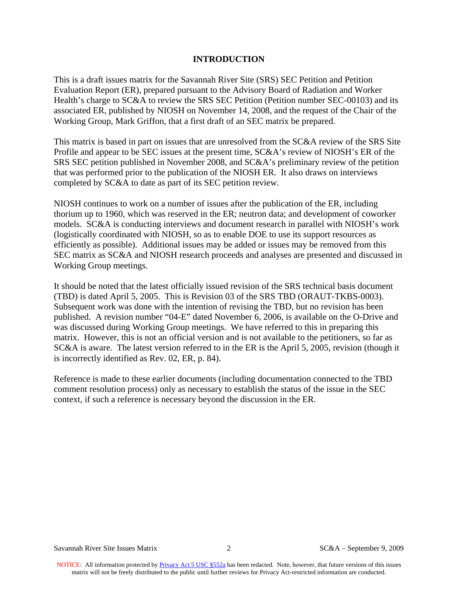### **INTRODUCTION**

This is a draft issues matrix for the Savannah River Site (SRS) SEC Petition and Petition Evaluation Report (ER), prepared pursuant to the Advisory Board of Radiation and Worker Health's charge to SC&A to review the SRS SEC Petition (Petition number SEC-00103) and its associated ER, published by NIOSH on November 14, 2008, and the request of the Chair of the Working Group, Mark Griffon, that a first draft of an SEC matrix be prepared.

This matrix is based in part on issues that are unresolved from the SC&A review of the SRS Site Profile and appear to be SEC issues at the present time, SC&A's review of NIOSH's ER of the SRS SEC petition published in November 2008, and SC&A's preliminary review of the petition that was performed prior to the publication of the NIOSH ER. It also draws on interviews completed by SC&A to date as part of its SEC petition review.

NIOSH continues to work on a number of issues after the publication of the ER, including thorium up to 1960, which was reserved in the ER; neutron data; and development of coworker models. SC&A is conducting interviews and document research in parallel with NIOSH's work (logistically coordinated with NIOSH, so as to enable DOE to use its support resources as efficiently as possible). Additional issues may be added or issues may be removed from this SEC matrix as SC&A and NIOSH research proceeds and analyses are presented and discussed in Working Group meetings.

It should be noted that the latest officially issued revision of the SRS technical basis document (TBD) is dated April 5, 2005. This is Revision 03 of the SRS TBD (ORAUT-TKBS-0003). Subsequent work was done with the intention of revising the TBD, but no revision has been published. A revision number "04-E" dated November 6, 2006, is available on the O-Drive and was discussed during Working Group meetings. We have referred to this in preparing this matrix. However, this is not an official version and is not available to the petitioners, so far as SC&A is aware. The latest version referred to in the ER is the April 5, 2005, revision (though it is incorrectly identified as Rev. 02, ER, p. 84).

Reference is made to these earlier documents (including documentation connected to the TBD comment resolution process) only as necessary to establish the status of the issue in the SEC context, if such a reference is necessary beyond the discussion in the ER.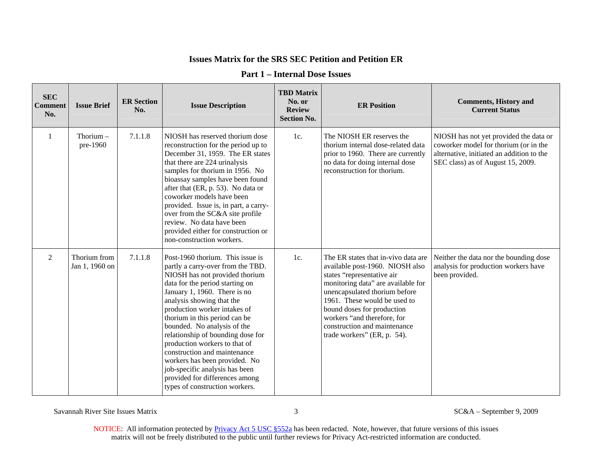| <b>SEC</b><br><b>Comment</b><br>No. | <b>Issue Brief</b>             | <b>ER Section</b><br>No. | <b>Issue Description</b>                                                                                                                                                                                                                                                                                                                                                                                                                                                                                                                             | <b>TBD Matrix</b><br>No. or<br><b>Review</b><br><b>Section No.</b> | <b>ER Position</b>                                                                                                                                                                                                                                                                                                                      | <b>Comments, History and</b><br><b>Current Status</b>                                                                                                             |
|-------------------------------------|--------------------------------|--------------------------|------------------------------------------------------------------------------------------------------------------------------------------------------------------------------------------------------------------------------------------------------------------------------------------------------------------------------------------------------------------------------------------------------------------------------------------------------------------------------------------------------------------------------------------------------|--------------------------------------------------------------------|-----------------------------------------------------------------------------------------------------------------------------------------------------------------------------------------------------------------------------------------------------------------------------------------------------------------------------------------|-------------------------------------------------------------------------------------------------------------------------------------------------------------------|
| 1                                   | Thorium $-$<br>pre-1960        | 7.1.1.8                  | NIOSH has reserved thorium dose<br>reconstruction for the period up to<br>December 31, 1959. The ER states<br>that there are 224 urinalysis<br>samples for thorium in 1956. No<br>bioassay samples have been found<br>after that (ER, p. 53). No data or<br>coworker models have been<br>provided. Issue is, in part, a carry-<br>over from the SC&A site profile<br>review. No data have been<br>provided either for construction or<br>non-construction workers.                                                                                   | 1c.                                                                | The NIOSH ER reserves the<br>thorium internal dose-related data<br>prior to 1960. There are currently<br>no data for doing internal dose<br>reconstruction for thorium.                                                                                                                                                                 | NIOSH has not yet provided the data or<br>coworker model for thorium (or in the<br>alternative, initiated an addition to the<br>SEC class) as of August 15, 2009. |
| $\overline{2}$                      | Thorium from<br>Jan 1, 1960 on | 7.1.1.8                  | Post-1960 thorium. This issue is<br>partly a carry-over from the TBD.<br>NIOSH has not provided thorium<br>data for the period starting on<br>January 1, 1960. There is no<br>analysis showing that the<br>production worker intakes of<br>thorium in this period can be<br>bounded. No analysis of the<br>relationship of bounding dose for<br>production workers to that of<br>construction and maintenance<br>workers has been provided. No<br>job-specific analysis has been<br>provided for differences among<br>types of construction workers. | 1c.                                                                | The ER states that in-vivo data are<br>available post-1960. NIOSH also<br>states "representative air<br>monitoring data" are available for<br>unencapsulated thorium before<br>1961. These would be used to<br>bound doses for production<br>workers "and therefore, for<br>construction and maintenance<br>trade workers" (ER, p. 54). | Neither the data nor the bounding dose<br>analysis for production workers have<br>been provided.                                                                  |

### **Part 1 – Internal Dose Issues**

Savannah River Site Issues Matrix 3 SC&A – September 9, 2009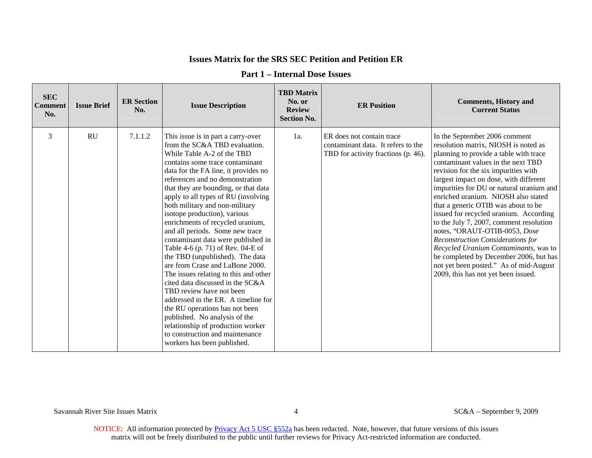| <b>Part 1 – Internal Dose Issues</b> |  |
|--------------------------------------|--|
|--------------------------------------|--|

| <b>SEC</b><br><b>Comment</b><br>No. | <b>Issue Brief</b> | <b>ER Section</b><br>No. | <b>Issue Description</b>                                                                                                                                                                                                                                                                                                                                                                                                                                                                                                                                                                                                                                                                                                                                                                                                                                                                                           | <b>TBD Matrix</b><br>No. or<br><b>Review</b><br><b>Section No.</b> | <b>ER Position</b>                                                                                     | <b>Comments, History and</b><br><b>Current Status</b>                                                                                                                                                                                                                                                                                                                                                                                                                                                                                                                                                                                                                                                   |
|-------------------------------------|--------------------|--------------------------|--------------------------------------------------------------------------------------------------------------------------------------------------------------------------------------------------------------------------------------------------------------------------------------------------------------------------------------------------------------------------------------------------------------------------------------------------------------------------------------------------------------------------------------------------------------------------------------------------------------------------------------------------------------------------------------------------------------------------------------------------------------------------------------------------------------------------------------------------------------------------------------------------------------------|--------------------------------------------------------------------|--------------------------------------------------------------------------------------------------------|---------------------------------------------------------------------------------------------------------------------------------------------------------------------------------------------------------------------------------------------------------------------------------------------------------------------------------------------------------------------------------------------------------------------------------------------------------------------------------------------------------------------------------------------------------------------------------------------------------------------------------------------------------------------------------------------------------|
| 3                                   | <b>RU</b>          | 7.1.1.2                  | This issue is in part a carry-over<br>from the SC&A TBD evaluation.<br>While Table A-2 of the TBD<br>contains some trace contaminant<br>data for the FA line, it provides no<br>references and no demonstration<br>that they are bounding, or that data<br>apply to all types of RU (involving<br>both military and non-military<br>isotope production), various<br>enrichments of recycled uranium,<br>and all periods. Some new trace<br>contaminant data were published in<br>Table 4-6 (p. 71) of Rev. 04-E of<br>the TBD (unpublished). The data<br>are from Crase and LaBone 2000.<br>The issues relating to this and other<br>cited data discussed in the SC&A<br>TBD review have not been<br>addressed in the ER. A timeline for<br>the RU operations has not been<br>published. No analysis of the<br>relationship of production worker<br>to construction and maintenance<br>workers has been published. | 1a.                                                                | ER does not contain trace<br>contaminant data. It refers to the<br>TBD for activity fractions (p. 46). | In the September 2006 comment<br>resolution matrix, NIOSH is noted as<br>planning to provide a table with trace<br>contaminant values in the next TBD<br>revision for the six impurities with<br>largest impact on dose, with different<br>impurities for DU or natural uranium and<br>enriched uranium. NIOSH also stated<br>that a generic OTIB was about to be<br>issued for recycled uranium. According<br>to the July 7, 2007, comment resolution<br>notes, "ORAUT-OTIB-0053, Dose<br><b>Reconstruction Considerations for</b><br>Recycled Uranium Contaminants, was to<br>be completed by December 2006, but has<br>not yet been posted." As of mid-August<br>2009, this has not yet been issued. |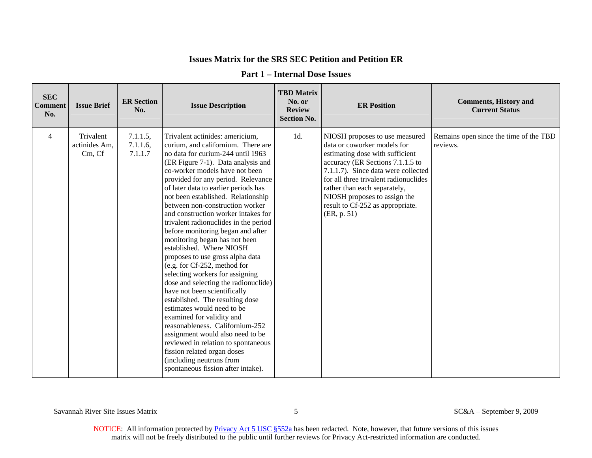| <b>SEC</b><br><b>Comment</b><br>No. | <b>Issue Brief</b>                   | <b>ER Section</b><br>No.           | <b>Issue Description</b>                                                                                                                                                                                                                                                                                                                                                                                                                                                                                                                                                                                                                                                                                                                                                                                                                                                                                                                                                                                                | <b>TBD Matrix</b><br>No. or<br><b>Review</b><br><b>Section No.</b> | <b>ER Position</b>                                                                                                                                                                                                                                                                                                                      | <b>Comments, History and</b><br><b>Current Status</b> |
|-------------------------------------|--------------------------------------|------------------------------------|-------------------------------------------------------------------------------------------------------------------------------------------------------------------------------------------------------------------------------------------------------------------------------------------------------------------------------------------------------------------------------------------------------------------------------------------------------------------------------------------------------------------------------------------------------------------------------------------------------------------------------------------------------------------------------------------------------------------------------------------------------------------------------------------------------------------------------------------------------------------------------------------------------------------------------------------------------------------------------------------------------------------------|--------------------------------------------------------------------|-----------------------------------------------------------------------------------------------------------------------------------------------------------------------------------------------------------------------------------------------------------------------------------------------------------------------------------------|-------------------------------------------------------|
| 4                                   | Trivalent<br>actinides Am,<br>Cm, Cf | 7.1.1.5,<br>$7.1.1.6$ ,<br>7.1.1.7 | Trivalent actinides: americium,<br>curium, and californium. There are<br>no data for curium-244 until 1963<br>(ER Figure 7-1). Data analysis and<br>co-worker models have not been<br>provided for any period. Relevance<br>of later data to earlier periods has<br>not been established. Relationship<br>between non-construction worker<br>and construction worker intakes for<br>trivalent radionuclides in the period<br>before monitoring began and after<br>monitoring began has not been<br>established. Where NIOSH<br>proposes to use gross alpha data<br>(e.g. for Cf-252, method for<br>selecting workers for assigning<br>dose and selecting the radionuclide)<br>have not been scientifically<br>established. The resulting dose<br>estimates would need to be<br>examined for validity and<br>reasonableness. Californium-252<br>assignment would also need to be<br>reviewed in relation to spontaneous<br>fission related organ doses<br>(including neutrons from<br>spontaneous fission after intake). | 1d.                                                                | NIOSH proposes to use measured<br>data or coworker models for<br>estimating dose with sufficient<br>accuracy (ER Sections 7.1.1.5 to<br>7.1.1.7). Since data were collected<br>for all three trivalent radionuclides<br>rather than each separately,<br>NIOSH proposes to assign the<br>result to Cf-252 as appropriate.<br>(ER, p. 51) | Remains open since the time of the TBD<br>reviews.    |

### **Part 1 – Internal Dose Issues**

Savannah River Site Issues Matrix 5 SC&A – September 9, 2009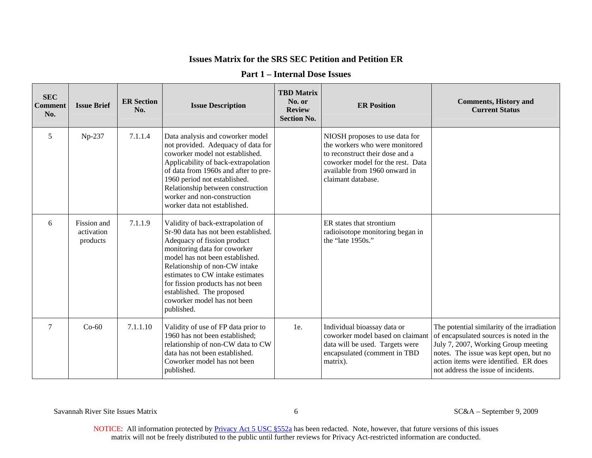| <b>Part 1 – Internal Dose Issues</b> |  |  |
|--------------------------------------|--|--|
|--------------------------------------|--|--|

| <b>SEC</b><br><b>Comment</b><br>No. | <b>Issue Brief</b>                    | <b>ER Section</b><br>No. | <b>Issue Description</b>                                                                                                                                                                                                                                                                                                                                        | <b>TBD Matrix</b><br>No. or<br><b>Review</b><br><b>Section No.</b> | <b>ER Position</b>                                                                                                                                                                              | <b>Comments, History and</b><br><b>Current Status</b>                                                                                                                                                                                                   |
|-------------------------------------|---------------------------------------|--------------------------|-----------------------------------------------------------------------------------------------------------------------------------------------------------------------------------------------------------------------------------------------------------------------------------------------------------------------------------------------------------------|--------------------------------------------------------------------|-------------------------------------------------------------------------------------------------------------------------------------------------------------------------------------------------|---------------------------------------------------------------------------------------------------------------------------------------------------------------------------------------------------------------------------------------------------------|
| 5                                   | Np-237                                | 7.1.1.4                  | Data analysis and coworker model<br>not provided. Adequacy of data for<br>coworker model not established.<br>Applicability of back-extrapolation<br>of data from 1960s and after to pre-<br>1960 period not established.<br>Relationship between construction<br>worker and non-construction<br>worker data not established.                                    |                                                                    | NIOSH proposes to use data for<br>the workers who were monitored<br>to reconstruct their dose and a<br>coworker model for the rest. Data<br>available from 1960 onward in<br>claimant database. |                                                                                                                                                                                                                                                         |
| 6                                   | Fission and<br>activation<br>products | 7.1.1.9                  | Validity of back-extrapolation of<br>Sr-90 data has not been established.<br>Adequacy of fission product<br>monitoring data for coworker<br>model has not been established.<br>Relationship of non-CW intake<br>estimates to CW intake estimates<br>for fission products has not been<br>established. The proposed<br>coworker model has not been<br>published. |                                                                    | ER states that strontium<br>radioisotope monitoring began in<br>the "late 1950s."                                                                                                               |                                                                                                                                                                                                                                                         |
| $\overline{7}$                      | $Co-60$                               | 7.1.1.10                 | Validity of use of FP data prior to<br>1960 has not been established;<br>relationship of non-CW data to CW<br>data has not been established.<br>Coworker model has not been<br>published.                                                                                                                                                                       | 1e.                                                                | Individual bioassay data or<br>coworker model based on claimant<br>data will be used. Targets were<br>encapsulated (comment in TBD<br>matrix).                                                  | The potential similarity of the irradiation<br>of encapsulated sources is noted in the<br>July 7, 2007, Working Group meeting<br>notes. The issue was kept open, but no<br>action items were identified. ER does<br>not address the issue of incidents. |

Savannah River Site Issues Matrix 6 6 SC&A – September 9, 2009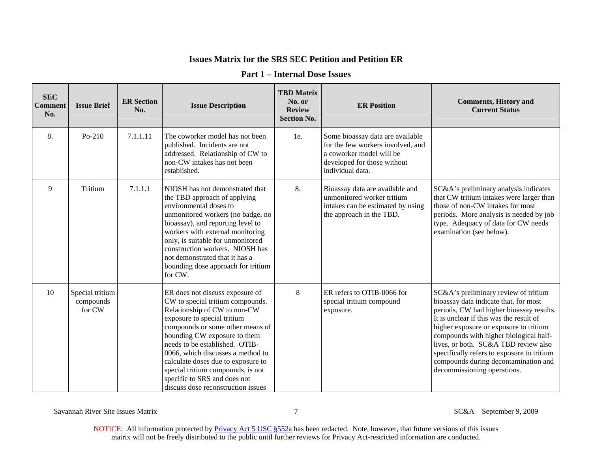### **Part 1 – Internal Dose Issues**

| <b>SEC</b><br><b>Comment</b><br>No. | <b>Issue Brief</b>                     | <b>ER Section</b><br>No. | <b>Issue Description</b>                                                                                                                                                                                                                                                                                                                                                                                                       | <b>TBD Matrix</b><br>No. or<br><b>Review</b><br><b>Section No.</b> | <b>ER Position</b>                                                                                                                                   | <b>Comments, History and</b><br><b>Current Status</b>                                                                                                                                                                                                                                                                                                                                                                 |
|-------------------------------------|----------------------------------------|--------------------------|--------------------------------------------------------------------------------------------------------------------------------------------------------------------------------------------------------------------------------------------------------------------------------------------------------------------------------------------------------------------------------------------------------------------------------|--------------------------------------------------------------------|------------------------------------------------------------------------------------------------------------------------------------------------------|-----------------------------------------------------------------------------------------------------------------------------------------------------------------------------------------------------------------------------------------------------------------------------------------------------------------------------------------------------------------------------------------------------------------------|
| 8.                                  | $Po-210$                               | 7.1.1.11                 | The coworker model has not been<br>published. Incidents are not<br>addressed. Relationship of CW to<br>non-CW intakes has not been<br>established.                                                                                                                                                                                                                                                                             | 1e.                                                                | Some bioassay data are available<br>for the few workers involved, and<br>a coworker model will be<br>developed for those without<br>individual data. |                                                                                                                                                                                                                                                                                                                                                                                                                       |
| 9                                   | Tritium                                | 7.1.1.1                  | NIOSH has not demonstrated that<br>the TBD approach of applying<br>environmental doses to<br>unmonitored workers (no badge, no<br>bioassay), and reporting level to<br>workers with external monitoring<br>only, is suitable for unmonitored<br>construction workers. NIOSH has<br>not demonstrated that it has a<br>bounding dose approach for tritium<br>for CW.                                                             | 8.                                                                 | Bioassay data are available and<br>unmonitored worker tritium<br>intakes can be estimated by using<br>the approach in the TBD.                       | SC&A's preliminary analysis indicates<br>that CW tritium intakes were larger than<br>those of non-CW intakes for most<br>periods. More analysis is needed by job<br>type. Adequacy of data for CW needs<br>examination (see below).                                                                                                                                                                                   |
| 10                                  | Special tritium<br>compounds<br>for CW |                          | ER does not discuss exposure of<br>CW to special tritium compounds.<br>Relationship of CW to non-CW<br>exposure to special tritium<br>compounds or some other means of<br>bounding CW exposure to them<br>needs to be established. OTIB-<br>0066, which discusses a method to<br>calculate doses due to exposure to<br>special tritium compounds, is not<br>specific to SRS and does not<br>discuss dose reconstruction issues | 8                                                                  | ER refers to OTIB-0066 for<br>special tritium compound<br>exposure.                                                                                  | SC&A's preliminary review of tritium<br>bioassay data indicate that, for most<br>periods, CW had higher bioassay results.<br>It is unclear if this was the result of<br>higher exposure or exposure to tritium<br>compounds with higher biological half-<br>lives, or both. SC&A TBD review also<br>specifically refers to exposure to tritium<br>compounds during decontamination and<br>decommissioning operations. |

Savannah River Site Issues Matrix 7 SC&A – September 9, 2009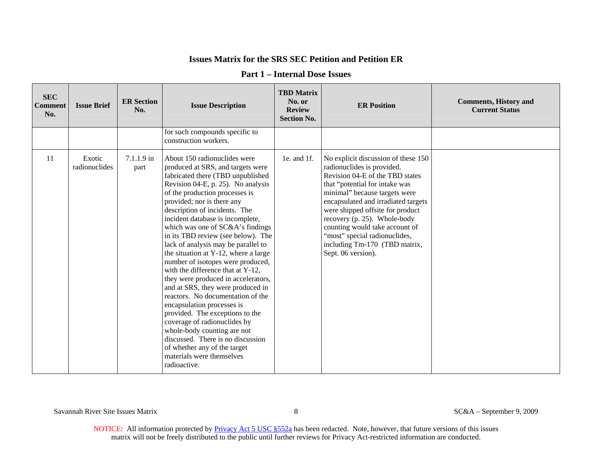| <b>SEC</b><br><b>Comment</b><br>No. | <b>Issue Brief</b>      | <b>ER Section</b><br>No. | <b>Issue Description</b>                                                                                                                                                                                                                                                                                                                                                                                                                                                                                                                                                                                                                                                                                                                                                                                                                                                                | <b>TBD Matrix</b><br>No. or<br><b>Review</b><br><b>Section No.</b> | <b>ER Position</b>                                                                                                                                                                                                                                                                                                                                                                                           | <b>Comments, History and</b><br><b>Current Status</b> |
|-------------------------------------|-------------------------|--------------------------|-----------------------------------------------------------------------------------------------------------------------------------------------------------------------------------------------------------------------------------------------------------------------------------------------------------------------------------------------------------------------------------------------------------------------------------------------------------------------------------------------------------------------------------------------------------------------------------------------------------------------------------------------------------------------------------------------------------------------------------------------------------------------------------------------------------------------------------------------------------------------------------------|--------------------------------------------------------------------|--------------------------------------------------------------------------------------------------------------------------------------------------------------------------------------------------------------------------------------------------------------------------------------------------------------------------------------------------------------------------------------------------------------|-------------------------------------------------------|
|                                     |                         |                          | for such compounds specific to<br>construction workers.                                                                                                                                                                                                                                                                                                                                                                                                                                                                                                                                                                                                                                                                                                                                                                                                                                 |                                                                    |                                                                                                                                                                                                                                                                                                                                                                                                              |                                                       |
| 11                                  | Exotic<br>radionuclides | $7.1.1.9$ in<br>part     | About 150 radionuclides were<br>produced at SRS, and targets were<br>fabricated there (TBD unpublished<br>Revision 04-E, p. 25). No analysis<br>of the production processes is<br>provided; nor is there any<br>description of incidents. The<br>incident database is incomplete,<br>which was one of SC&A's findings<br>in its TBD review (see below). The<br>lack of analysis may be parallel to<br>the situation at Y-12, where a large<br>number of isotopes were produced,<br>with the difference that at Y-12,<br>they were produced in accelerators,<br>and at SRS, they were produced in<br>reactors. No documentation of the<br>encapsulation processes is<br>provided. The exceptions to the<br>coverage of radionuclides by<br>whole-body counting are not<br>discussed. There is no discussion<br>of whether any of the target<br>materials were themselves<br>radioactive. | 1e. and 1f.                                                        | No explicit discussion of these 150<br>radionuclides is provided.<br>Revision 04-E of the TBD states<br>that "potential for intake was<br>minimal" because targets were<br>encapsulated and irradiated targets<br>were shipped offsite for product<br>recovery (p. 25). Whole-body<br>counting would take account of<br>"most" special radionuclides,<br>including Tm-170 (TBD matrix,<br>Sept. 06 version). |                                                       |

### **Part 1 – Internal Dose Issues**

Savannah River Site Issues Matrix 8 SC&A – September 9, 2009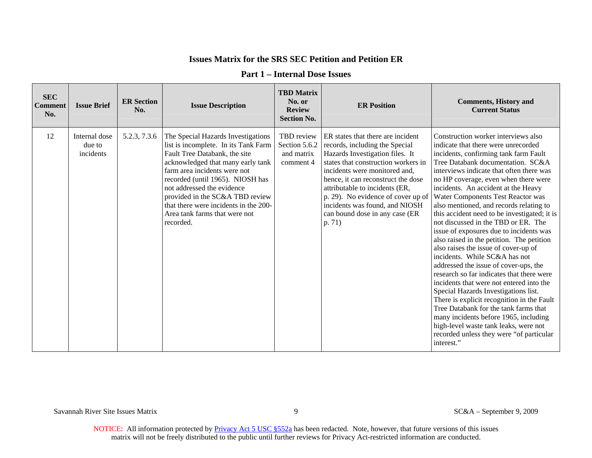| <b>SEC</b><br><b>Comment</b><br>No. | <b>Issue Brief</b>                   | <b>ER Section</b><br>No. | <b>Issue Description</b>                                                                                                                                                                                                                                                                                                                                                     | <b>TBD</b> Matrix<br>No. or<br><b>Review</b><br><b>Section No.</b> | <b>ER Position</b>                                                                                                                                                                                                                                                                                                                                                         | <b>Comments, History and</b><br><b>Current Status</b>                                                                                                                                                                                                                                                                                                                                                                                                                                                                                                                                                                                                                                                                                                                                                                                                                                                                                                                                                                                    |
|-------------------------------------|--------------------------------------|--------------------------|------------------------------------------------------------------------------------------------------------------------------------------------------------------------------------------------------------------------------------------------------------------------------------------------------------------------------------------------------------------------------|--------------------------------------------------------------------|----------------------------------------------------------------------------------------------------------------------------------------------------------------------------------------------------------------------------------------------------------------------------------------------------------------------------------------------------------------------------|------------------------------------------------------------------------------------------------------------------------------------------------------------------------------------------------------------------------------------------------------------------------------------------------------------------------------------------------------------------------------------------------------------------------------------------------------------------------------------------------------------------------------------------------------------------------------------------------------------------------------------------------------------------------------------------------------------------------------------------------------------------------------------------------------------------------------------------------------------------------------------------------------------------------------------------------------------------------------------------------------------------------------------------|
| 12                                  | Internal dose<br>due to<br>incidents | 5.2.3, 7.3.6             | The Special Hazards Investigations<br>list is incomplete. In its Tank Farm<br>Fault Tree Databank, the site<br>acknowledged that many early tank<br>farm area incidents were not<br>recorded (until 1965). NIOSH has<br>not addressed the evidence<br>provided in the SC&A TBD review<br>that there were incidents in the 200-<br>Area tank farms that were not<br>recorded. | TBD review<br>Section 5.6.2<br>and matrix<br>comment 4             | ER states that there are incident<br>records, including the Special<br>Hazards Investigation files. It<br>states that construction workers in<br>incidents were monitored and.<br>hence, it can reconstruct the dose<br>attributable to incidents (ER,<br>p. 29). No evidence of cover up of<br>incidents was found, and NIOSH<br>can bound dose in any case (ER<br>p. 71) | Construction worker interviews also<br>indicate that there were unrecorded<br>incidents, confirming tank farm Fault<br>Tree Databank documentation. SC&A<br>interviews indicate that often there was<br>no HP coverage, even when there were<br>incidents. An accident at the Heavy<br>Water Components Test Reactor was<br>also mentioned, and records relating to<br>this accident need to be investigated; it is<br>not discussed in the TBD or ER. The<br>issue of exposures due to incidents was<br>also raised in the petition. The petition<br>also raises the issue of cover-up of<br>incidents. While SC&A has not<br>addressed the issue of cover-ups, the<br>research so far indicates that there were<br>incidents that were not entered into the<br>Special Hazards Investigations list.<br>There is explicit recognition in the Fault<br>Tree Databank for the tank farms that<br>many incidents before 1965, including<br>high-level waste tank leaks, were not<br>recorded unless they were "of particular<br>interest." |

#### **Part 1 – Internal Dose Issues**

Savannah River Site Issues Matrix 9 SC&A – September 9, 2009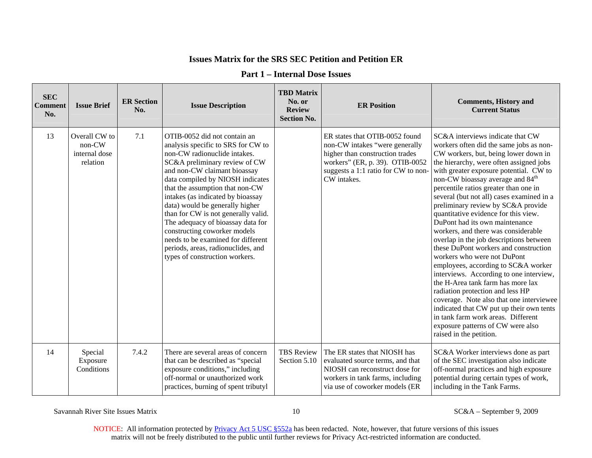#### **Part 1 – Internal Dose Issues**

| <b>SEC</b><br><b>Comment</b><br>No. | <b>Issue Brief</b>                                     | <b>ER Section</b><br>No. | <b>Issue Description</b>                                                                                                                                                                                                                                                                                                                                                                                                                                                                                                                     | <b>TBD Matrix</b><br>No. or<br><b>Review</b><br><b>Section No.</b> | <b>ER Position</b>                                                                                                                                                                           | <b>Comments, History and</b><br><b>Current Status</b>                                                                                                                                                                                                                                                                                                                                                                                                                                                                                                                                                                                                                                                                                                                                                                                                                                                                                                                             |
|-------------------------------------|--------------------------------------------------------|--------------------------|----------------------------------------------------------------------------------------------------------------------------------------------------------------------------------------------------------------------------------------------------------------------------------------------------------------------------------------------------------------------------------------------------------------------------------------------------------------------------------------------------------------------------------------------|--------------------------------------------------------------------|----------------------------------------------------------------------------------------------------------------------------------------------------------------------------------------------|-----------------------------------------------------------------------------------------------------------------------------------------------------------------------------------------------------------------------------------------------------------------------------------------------------------------------------------------------------------------------------------------------------------------------------------------------------------------------------------------------------------------------------------------------------------------------------------------------------------------------------------------------------------------------------------------------------------------------------------------------------------------------------------------------------------------------------------------------------------------------------------------------------------------------------------------------------------------------------------|
| 13                                  | Overall CW to<br>$non-CW$<br>internal dose<br>relation | 7.1                      | OTIB-0052 did not contain an<br>analysis specific to SRS for CW to<br>non-CW radionuclide intakes.<br>SC&A preliminary review of CW<br>and non-CW claimant bioassay<br>data compiled by NIOSH indicates<br>that the assumption that non-CW<br>intakes (as indicated by bioassay<br>data) would be generally higher<br>than for CW is not generally valid.<br>The adequacy of bioassay data for<br>constructing coworker models<br>needs to be examined for different<br>periods, areas, radionuclides, and<br>types of construction workers. |                                                                    | ER states that OTIB-0052 found<br>non-CW intakes "were generally<br>higher than construction trades<br>workers" (ER, p. 39). OTIB-0052<br>suggests a 1:1 ratio for CW to non-<br>CW intakes. | SC&A interviews indicate that CW<br>workers often did the same jobs as non-<br>CW workers, but, being lower down in<br>the hierarchy, were often assigned jobs<br>with greater exposure potential. CW to<br>non-CW bioassay average and 84 <sup>th</sup><br>percentile ratios greater than one in<br>several (but not all) cases examined in a<br>preliminary review by SC&A provide<br>quantitative evidence for this view.<br>DuPont had its own maintenance<br>workers, and there was considerable<br>overlap in the job descriptions between<br>these DuPont workers and construction<br>workers who were not DuPont<br>employees, according to SC&A worker<br>interviews. According to one interview,<br>the H-Area tank farm has more lax<br>radiation protection and less HP<br>coverage. Note also that one interviewee<br>indicated that CW put up their own tents<br>in tank farm work areas. Different<br>exposure patterns of CW were also<br>raised in the petition. |
| 14                                  | Special<br>Exposure<br>Conditions                      | 7.4.2                    | There are several areas of concern<br>that can be described as "special<br>exposure conditions," including<br>off-normal or unauthorized work<br>practices, burning of spent tributyl                                                                                                                                                                                                                                                                                                                                                        | <b>TBS Review</b><br>Section 5.10                                  | The ER states that NIOSH has<br>evaluated source terms, and that<br>NIOSH can reconstruct dose for<br>workers in tank farms, including<br>via use of coworker models (ER                     | SC&A Worker interviews done as part<br>of the SEC investigation also indicate<br>off-normal practices and high exposure<br>potential during certain types of work,<br>including in the Tank Farms.                                                                                                                                                                                                                                                                                                                                                                                                                                                                                                                                                                                                                                                                                                                                                                                |

Savannah River Site Issues Matrix 10 SC&A – September 9, 2009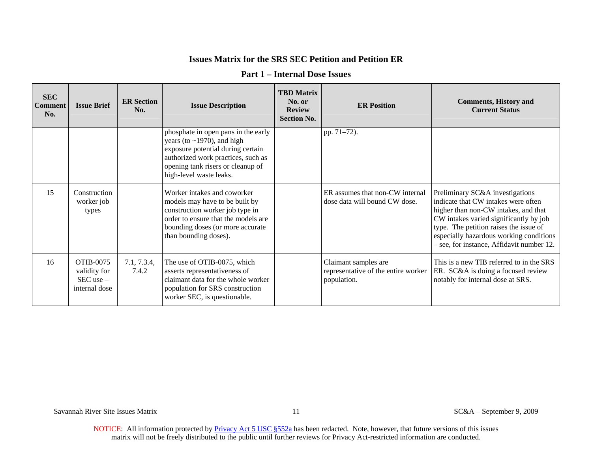#### **Part 1 – Internal Dose Issues**

| <b>SEC</b><br><b>Comment</b><br>No. | <b>Issue Brief</b>                                          | <b>ER Section</b><br>No. | <b>Issue Description</b>                                                                                                                                                                                           | <b>TBD Matrix</b><br>No. or<br><b>Review</b><br><b>Section No.</b> | <b>ER Position</b>                                                         | <b>Comments, History and</b><br><b>Current Status</b>                                                                                                                                                                                                                                      |
|-------------------------------------|-------------------------------------------------------------|--------------------------|--------------------------------------------------------------------------------------------------------------------------------------------------------------------------------------------------------------------|--------------------------------------------------------------------|----------------------------------------------------------------------------|--------------------------------------------------------------------------------------------------------------------------------------------------------------------------------------------------------------------------------------------------------------------------------------------|
|                                     |                                                             |                          | phosphate in open pans in the early<br>years (to $\sim$ 1970), and high<br>exposure potential during certain<br>authorized work practices, such as<br>opening tank risers or cleanup of<br>high-level waste leaks. |                                                                    | pp. 71-72).                                                                |                                                                                                                                                                                                                                                                                            |
| 15                                  | Construction<br>worker job<br>types                         |                          | Worker intakes and coworker<br>models may have to be built by<br>construction worker job type in<br>order to ensure that the models are<br>bounding doses (or more accurate<br>than bounding doses).               |                                                                    | ER assumes that non-CW internal<br>dose data will bound CW dose.           | Preliminary SC&A investigations<br>indicate that CW intakes were often<br>higher than non-CW intakes, and that<br>CW intakes varied significantly by job<br>type. The petition raises the issue of<br>especially hazardous working conditions<br>- see, for instance, Affidavit number 12. |
| 16                                  | OTIB-0075<br>validity for<br>$SEC$ use $-$<br>internal dose | 7.1, 7.3.4,<br>7.4.2     | The use of OTIB-0075, which<br>asserts representativeness of<br>claimant data for the whole worker<br>population for SRS construction<br>worker SEC, is questionable.                                              |                                                                    | Claimant samples are<br>representative of the entire worker<br>population. | This is a new TIB referred to in the SRS<br>ER. SC&A is doing a focused review<br>notably for internal dose at SRS.                                                                                                                                                                        |

Savannah River Site Issues Matrix 11 SC&A – September 9, 2009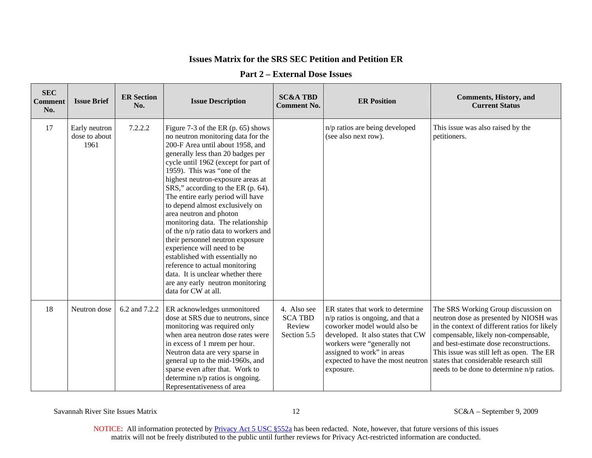#### **Part 2 – External Dose Issues**

| <b>SEC</b><br><b>Comment</b><br>No. | <b>Issue Brief</b>                     | <b>ER Section</b><br>No. | <b>Issue Description</b>                                                                                                                                                                                                                                                                                                                                                                                                                                                                                                                                                                                                                                                                                                   | <b>SC&amp;A TBD</b><br><b>Comment No.</b>              | <b>ER Position</b>                                                                                                                                                                                                                                          | <b>Comments, History, and</b><br><b>Current Status</b>                                                                                                                                                                                                                                                                                                 |
|-------------------------------------|----------------------------------------|--------------------------|----------------------------------------------------------------------------------------------------------------------------------------------------------------------------------------------------------------------------------------------------------------------------------------------------------------------------------------------------------------------------------------------------------------------------------------------------------------------------------------------------------------------------------------------------------------------------------------------------------------------------------------------------------------------------------------------------------------------------|--------------------------------------------------------|-------------------------------------------------------------------------------------------------------------------------------------------------------------------------------------------------------------------------------------------------------------|--------------------------------------------------------------------------------------------------------------------------------------------------------------------------------------------------------------------------------------------------------------------------------------------------------------------------------------------------------|
| 17                                  | Early neutron<br>dose to about<br>1961 | 7.2.2.2                  | Figure 7-3 of the ER (p. 65) shows<br>no neutron monitoring data for the<br>200-F Area until about 1958, and<br>generally less than 20 badges per<br>cycle until 1962 (except for part of<br>1959). This was "one of the<br>highest neutron-exposure areas at<br>SRS," according to the ER (p. 64).<br>The entire early period will have<br>to depend almost exclusively on<br>area neutron and photon<br>monitoring data. The relationship<br>of the n/p ratio data to workers and<br>their personnel neutron exposure<br>experience will need to be<br>established with essentially no<br>reference to actual monitoring<br>data. It is unclear whether there<br>are any early neutron monitoring<br>data for CW at all. |                                                        | n/p ratios are being developed<br>(see also next row).                                                                                                                                                                                                      | This issue was also raised by the<br>petitioners.                                                                                                                                                                                                                                                                                                      |
| 18                                  | Neutron dose                           | 6.2 and 7.2.2            | ER acknowledges unmonitored<br>dose at SRS due to neutrons, since<br>monitoring was required only<br>when area neutron dose rates were<br>in excess of 1 mrem per hour.<br>Neutron data are very sparse in<br>general up to the mid-1960s, and<br>sparse even after that. Work to<br>determine n/p ratios is ongoing.<br>Representativeness of area                                                                                                                                                                                                                                                                                                                                                                        | 4. Also see<br><b>SCA TBD</b><br>Review<br>Section 5.5 | ER states that work to determine<br>$n/p$ ratios is ongoing, and that a<br>coworker model would also be<br>developed. It also states that CW<br>workers were "generally not<br>assigned to work" in areas<br>expected to have the most neutron<br>exposure. | The SRS Working Group discussion on<br>neutron dose as presented by NIOSH was<br>in the context of different ratios for likely<br>compensable, likely non-compensable,<br>and best-estimate dose reconstructions.<br>This issue was still left as open. The ER<br>states that considerable research still<br>needs to be done to determine n/p ratios. |

Savannah River Site Issues Matrix 12 SC&A – September 9, 2009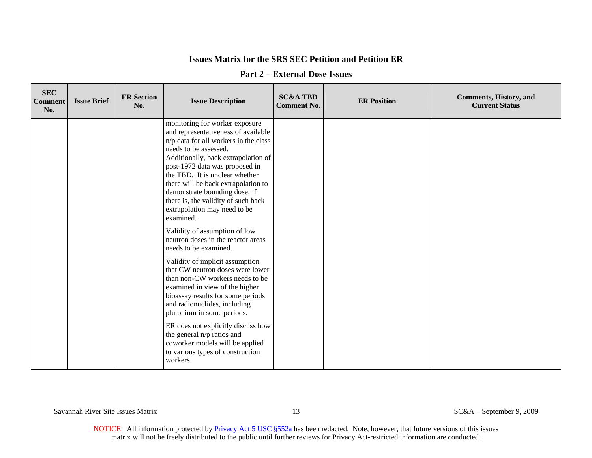#### **Part 2 – External Dose Issues**

| <b>SEC</b><br><b>Comment</b><br>No. | <b>Issue Brief</b> | <b>ER Section</b><br>No. | <b>Issue Description</b>                                                                                                                                                                                                                                                                                                                                                                                                                                                              | <b>SC&amp;A TBD</b><br><b>Comment No.</b> | <b>ER Position</b> | <b>Comments, History, and</b><br><b>Current Status</b> |
|-------------------------------------|--------------------|--------------------------|---------------------------------------------------------------------------------------------------------------------------------------------------------------------------------------------------------------------------------------------------------------------------------------------------------------------------------------------------------------------------------------------------------------------------------------------------------------------------------------|-------------------------------------------|--------------------|--------------------------------------------------------|
|                                     |                    |                          | monitoring for worker exposure<br>and representativeness of available<br>n/p data for all workers in the class<br>needs to be assessed.<br>Additionally, back extrapolation of<br>post-1972 data was proposed in<br>the TBD. It is unclear whether<br>there will be back extrapolation to<br>demonstrate bounding dose; if<br>there is, the validity of such back<br>extrapolation may need to be<br>examined.<br>Validity of assumption of low<br>neutron doses in the reactor areas |                                           |                    |                                                        |
|                                     |                    |                          | needs to be examined.<br>Validity of implicit assumption<br>that CW neutron doses were lower<br>than non-CW workers needs to be<br>examined in view of the higher<br>bioassay results for some periods<br>and radionuclides, including<br>plutonium in some periods.<br>ER does not explicitly discuss how<br>the general n/p ratios and<br>coworker models will be applied<br>to various types of construction<br>workers.                                                           |                                           |                    |                                                        |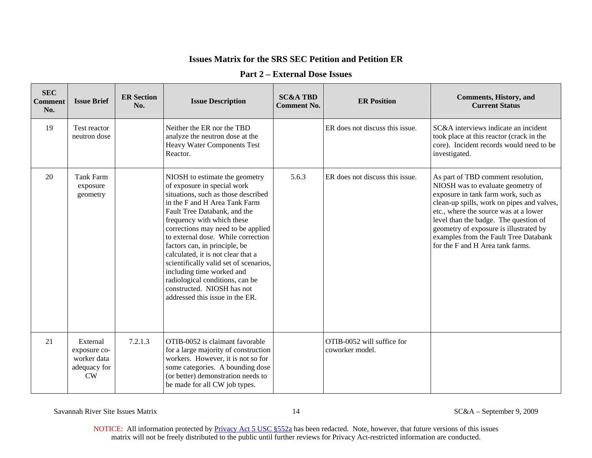### **Part 2 – External Dose Issues**

| <b>SEC</b><br><b>Comment</b><br>No. | <b>Issue Brief</b>                                                   | <b>ER Section</b><br>No. | <b>Issue Description</b>                                                                                                                                                                                                                                                                                                                                                                                                                                                                                                          | <b>SC&amp;A TBD</b><br><b>Comment No.</b> | <b>ER Position</b>                            | <b>Comments, History, and</b><br><b>Current Status</b>                                                                                                                                                                                                                                                                                                                |
|-------------------------------------|----------------------------------------------------------------------|--------------------------|-----------------------------------------------------------------------------------------------------------------------------------------------------------------------------------------------------------------------------------------------------------------------------------------------------------------------------------------------------------------------------------------------------------------------------------------------------------------------------------------------------------------------------------|-------------------------------------------|-----------------------------------------------|-----------------------------------------------------------------------------------------------------------------------------------------------------------------------------------------------------------------------------------------------------------------------------------------------------------------------------------------------------------------------|
| 19                                  | Test reactor<br>neutron dose                                         |                          | Neither the ER nor the TBD<br>analyze the neutron dose at the<br>Heavy Water Components Test<br>Reactor.                                                                                                                                                                                                                                                                                                                                                                                                                          |                                           | ER does not discuss this issue.               | SC&A interviews indicate an incident<br>took place at this reactor (crack in the<br>core). Incident records would need to be<br>investigated.                                                                                                                                                                                                                         |
| 20                                  | Tank Farm<br>exposure<br>geometry                                    |                          | NIOSH to estimate the geometry<br>of exposure in special work<br>situations, such as those described<br>in the F and H Area Tank Farm<br>Fault Tree Databank, and the<br>frequency with which these<br>corrections may need to be applied<br>to external dose. While correction<br>factors can, in principle, be<br>calculated, it is not clear that a<br>scientifically valid set of scenarios,<br>including time worked and<br>radiological conditions, can be<br>constructed. NIOSH has not<br>addressed this issue in the ER. | 5.6.3                                     | ER does not discuss this issue.               | As part of TBD comment resolution,<br>NIOSH was to evaluate geometry of<br>exposure in tank farm work, such as<br>clean-up spills, work on pipes and valves,<br>etc., where the source was at a lower<br>level than the badge. The question of<br>geometry of exposure is illustrated by<br>examples from the Fault Tree Databank<br>for the F and H Area tank farms. |
| 21                                  | External<br>exposure co-<br>worker data<br>adequacy for<br><b>CW</b> | 7.2.1.3                  | OTIB-0052 is claimant favorable<br>for a large majority of construction<br>workers. However, it is not so for<br>some categories. A bounding dose<br>(or better) demonstration needs to<br>be made for all CW job types.                                                                                                                                                                                                                                                                                                          |                                           | OTIB-0052 will suffice for<br>coworker model. |                                                                                                                                                                                                                                                                                                                                                                       |

Savannah River Site Issues Matrix 14 SC&A – September 9, 2009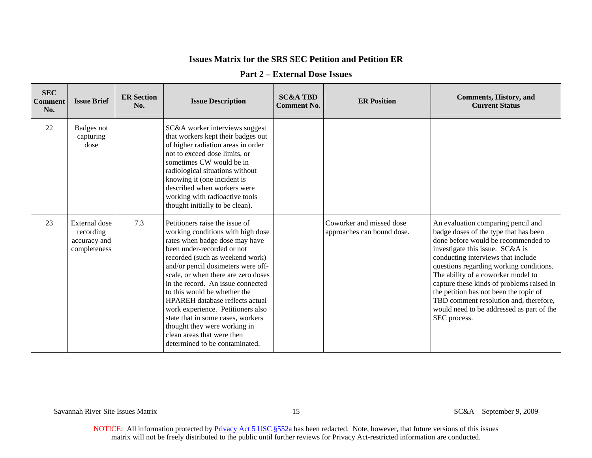#### **Part 2 – External Dose Issues**

| <b>SEC</b><br><b>Comment</b><br>No. | <b>Issue Brief</b>                                         | <b>ER Section</b><br>No. | <b>Issue Description</b>                                                                                                                                                                                                                                                                                                                                                                                                                                                                                                                     | <b>SC&amp;A TBD</b><br><b>Comment No.</b> | <b>ER Position</b>                                     | <b>Comments, History, and</b><br><b>Current Status</b>                                                                                                                                                                                                                                                                                                                                                                                                                     |
|-------------------------------------|------------------------------------------------------------|--------------------------|----------------------------------------------------------------------------------------------------------------------------------------------------------------------------------------------------------------------------------------------------------------------------------------------------------------------------------------------------------------------------------------------------------------------------------------------------------------------------------------------------------------------------------------------|-------------------------------------------|--------------------------------------------------------|----------------------------------------------------------------------------------------------------------------------------------------------------------------------------------------------------------------------------------------------------------------------------------------------------------------------------------------------------------------------------------------------------------------------------------------------------------------------------|
| 22                                  | Badges not<br>capturing<br>dose                            |                          | SC&A worker interviews suggest<br>that workers kept their badges out<br>of higher radiation areas in order<br>not to exceed dose limits, or<br>sometimes CW would be in<br>radiological situations without<br>knowing it (one incident is<br>described when workers were<br>working with radioactive tools<br>thought initially to be clean).                                                                                                                                                                                                |                                           |                                                        |                                                                                                                                                                                                                                                                                                                                                                                                                                                                            |
| 23                                  | External dose<br>recording<br>accuracy and<br>completeness | 7.3                      | Petitioners raise the issue of<br>working conditions with high dose<br>rates when badge dose may have<br>been under-recorded or not<br>recorded (such as weekend work)<br>and/or pencil dosimeters were off-<br>scale, or when there are zero doses<br>in the record. An issue connected<br>to this would be whether the<br><b>HPAREH</b> database reflects actual<br>work experience. Petitioners also<br>state that in some cases, workers<br>thought they were working in<br>clean areas that were then<br>determined to be contaminated. |                                           | Coworker and missed dose<br>approaches can bound dose. | An evaluation comparing pencil and<br>badge doses of the type that has been<br>done before would be recommended to<br>investigate this issue. SC&A is<br>conducting interviews that include<br>questions regarding working conditions.<br>The ability of a coworker model to<br>capture these kinds of problems raised in<br>the petition has not been the topic of<br>TBD comment resolution and, therefore,<br>would need to be addressed as part of the<br>SEC process. |

Savannah River Site Issues Matrix 15 SC&A – September 9, 2009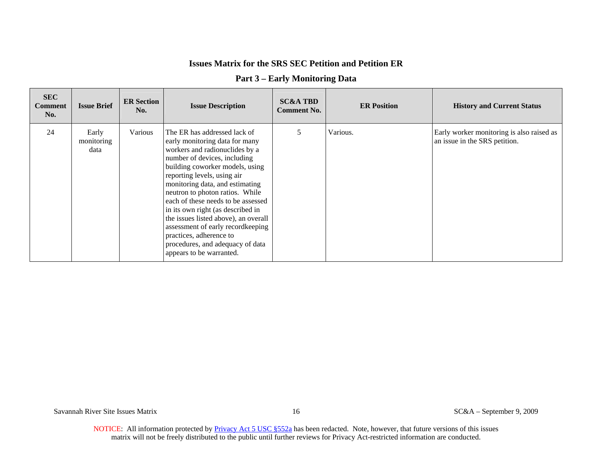|  |  | <b>Part 3 – Early Monitoring Data</b> |  |
|--|--|---------------------------------------|--|
|--|--|---------------------------------------|--|

| <b>SEC</b><br><b>Comment</b><br>No. | <b>Issue Brief</b>          | <b>ER Section</b><br>No. | <b>Issue Description</b>                                                                                                                                                                                                                                                                                                                                                                                                                                                                                                    | <b>SC&amp;A TBD</b><br><b>Comment No.</b> | <b>ER Position</b> | <b>History and Current Status</b>                                          |
|-------------------------------------|-----------------------------|--------------------------|-----------------------------------------------------------------------------------------------------------------------------------------------------------------------------------------------------------------------------------------------------------------------------------------------------------------------------------------------------------------------------------------------------------------------------------------------------------------------------------------------------------------------------|-------------------------------------------|--------------------|----------------------------------------------------------------------------|
| 24                                  | Early<br>monitoring<br>data | Various                  | The ER has addressed lack of<br>early monitoring data for many<br>workers and radionuclides by a<br>number of devices, including<br>building coworker models, using<br>reporting levels, using air<br>monitoring data, and estimating<br>neutron to photon ratios. While<br>each of these needs to be assessed<br>in its own right (as described in<br>the issues listed above), an overall<br>assessment of early recordkeeping<br>practices, adherence to<br>procedures, and adequacy of data<br>appears to be warranted. | 5                                         | Various.           | Early worker monitoring is also raised as<br>an issue in the SRS petition. |